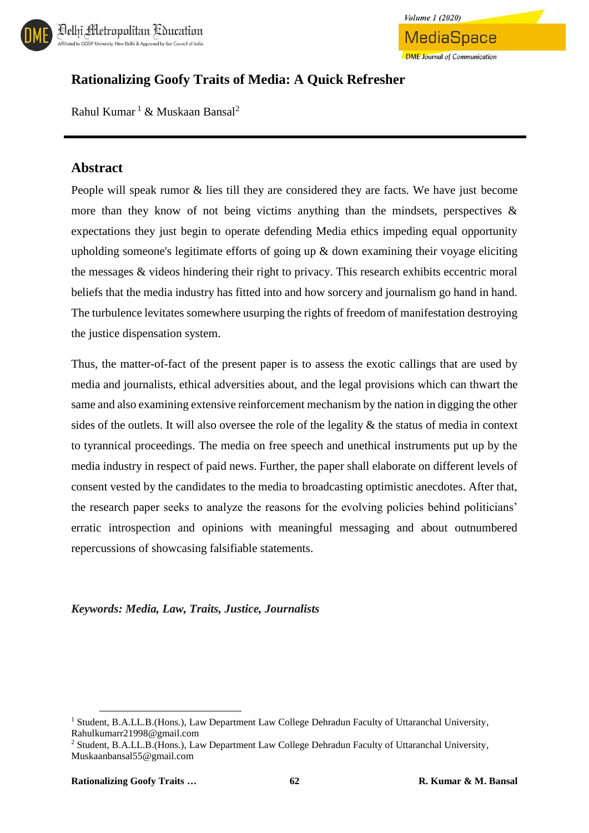



## **Rationalizing Goofy Traits of Media: A Quick Refresher**

Rahul Kumar<sup>1</sup> & Muskaan Bansal<sup>2</sup>

### **Abstract**

People will speak rumor & lies till they are considered they are facts. We have just become more than they know of not being victims anything than the mindsets, perspectives  $\&$ expectations they just begin to operate defending Media ethics impeding equal opportunity upholding someone's legitimate efforts of going up & down examining their voyage eliciting the messages & videos hindering their right to privacy. This research exhibits eccentric moral beliefs that the media industry has fitted into and how sorcery and journalism go hand in hand. The turbulence levitates somewhere usurping the rights of freedom of manifestation destroying the justice dispensation system.

Thus, the matter-of-fact of the present paper is to assess the exotic callings that are used by media and journalists, ethical adversities about, and the legal provisions which can thwart the same and also examining extensive reinforcement mechanism by the nation in digging the other sides of the outlets. It will also oversee the role of the legality & the status of media in context to tyrannical proceedings. The media on free speech and unethical instruments put up by the media industry in respect of paid news. Further, the paper shall elaborate on different levels of consent vested by the candidates to the media to broadcasting optimistic anecdotes. After that, the research paper seeks to analyze the reasons for the evolving policies behind politicians' erratic introspection and opinions with meaningful messaging and about outnumbered repercussions of showcasing falsifiable statements.

#### *Keywords: Media, Law, Traits, Justice, Journalists*

 $\overline{\phantom{a}}$ 

<sup>&</sup>lt;sup>1</sup> Student, B.A.LL.B.(Hons.), Law Department Law College Dehradun Faculty of Uttaranchal University, Rahulkumarr21998@gmail.com

<sup>2</sup> Student, B.A.LL.B.(Hons.), Law Department Law College Dehradun Faculty of Uttaranchal University, Muskaanbansal55@gmail.com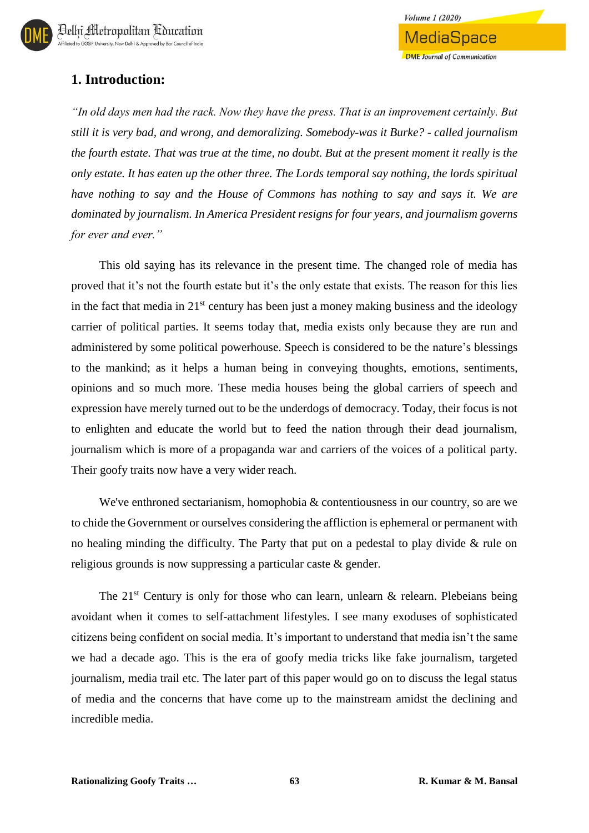## **1. Introduction:**

*"In old days men had the rack. Now they have the press. That is an improvement certainly. But still it is very bad, and wrong, and demoralizing. Somebody-was it Burke? - called journalism the fourth estate. That was true at the time, no doubt. But at the present moment it really is the only estate. It has eaten up the other three. The Lords temporal say nothing, the lords spiritual have nothing to say and the House of Commons has nothing to say and says it. We are dominated by journalism. In America President resigns for four years, and journalism governs for ever and ever."*

This old saying has its relevance in the present time. The changed role of media has proved that it's not the fourth estate but it's the only estate that exists. The reason for this lies in the fact that media in  $21<sup>st</sup>$  century has been just a money making business and the ideology carrier of political parties. It seems today that, media exists only because they are run and administered by some political powerhouse. Speech is considered to be the nature's blessings to the mankind; as it helps a human being in conveying thoughts, emotions, sentiments, opinions and so much more. These media houses being the global carriers of speech and expression have merely turned out to be the underdogs of democracy. Today, their focus is not to enlighten and educate the world but to feed the nation through their dead journalism, journalism which is more of a propaganda war and carriers of the voices of a political party. Their goofy traits now have a very wider reach.

We've enthroned sectarianism, homophobia & contentiousness in our country, so are we to chide the Government or ourselves considering the affliction is ephemeral or permanent with no healing minding the difficulty. The Party that put on a pedestal to play divide & rule on religious grounds is now suppressing a particular caste & gender.

The  $21^{st}$  Century is only for those who can learn, unlearn & relearn. Plebeians being avoidant when it comes to self-attachment lifestyles. I see many exoduses of sophisticated citizens being confident on social media. It's important to understand that media isn't the same we had a decade ago. This is the era of goofy media tricks like fake journalism, targeted journalism, media trail etc. The later part of this paper would go on to discuss the legal status of media and the concerns that have come up to the mainstream amidst the declining and incredible media.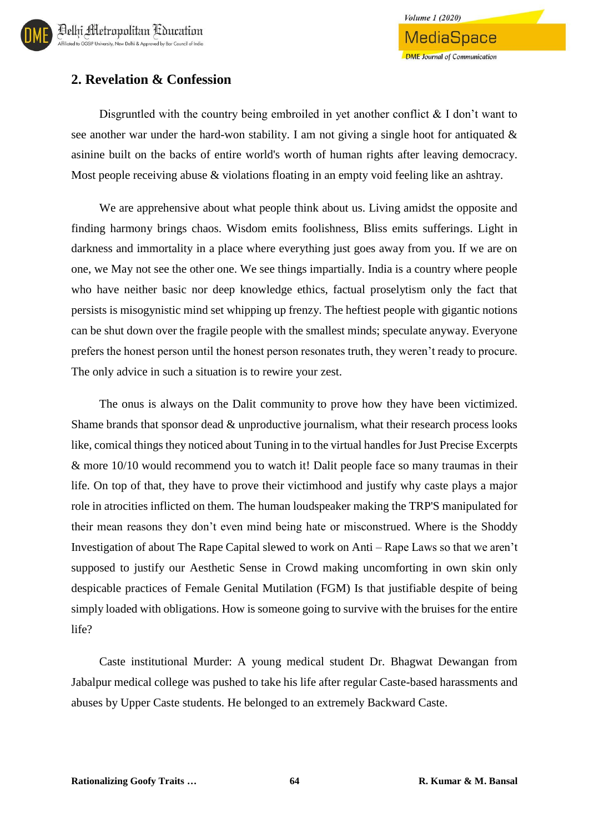## **2. Revelation & Confession**

Disgruntled with the country being embroiled in yet another conflict  $\&$  I don't want to see another war under the hard-won stability. I am not giving a single hoot for antiquated  $\&$ asinine built on the backs of entire world's worth of human rights after leaving democracy. Most people receiving abuse & violations floating in an empty void feeling like an ashtray.

We are apprehensive about what people think about us. Living amidst the opposite and finding harmony brings chaos. Wisdom emits foolishness, Bliss emits sufferings. Light in darkness and immortality in a place where everything just goes away from you. If we are on one, we May not see the other one. We see things impartially. India is a country where people who have neither basic nor deep knowledge ethics, factual proselytism only the fact that persists is misogynistic mind set whipping up frenzy. The heftiest people with gigantic notions can be shut down over the fragile people with the smallest minds; speculate anyway. Everyone prefers the honest person until the honest person resonates truth, they weren't ready to procure. The only advice in such a situation is to rewire your zest.

The onus is always on the Dalit community to prove how they have been victimized. Shame brands that sponsor dead & unproductive journalism, what their research process looks like, comical things they noticed about Tuning in to the virtual handles for Just Precise Excerpts & more 10/10 would recommend you to watch it! Dalit people face so many traumas in their life. On top of that, they have to prove their victimhood and justify why caste plays a major role in atrocities inflicted on them. The human loudspeaker making the TRP'S manipulated for their mean reasons they don't even mind being hate or misconstrued. Where is the Shoddy Investigation of about The Rape Capital slewed to work on Anti – Rape Laws so that we aren't supposed to justify our Aesthetic Sense in Crowd making uncomforting in own skin only despicable practices of Female Genital Mutilation (FGM) Is that justifiable despite of being simply loaded with obligations. How is someone going to survive with the bruises for the entire life?

Caste institutional Murder: A young medical student Dr. Bhagwat Dewangan from Jabalpur medical college was pushed to take his life after regular Caste-based harassments and abuses by Upper Caste students. He belonged to an extremely Backward Caste.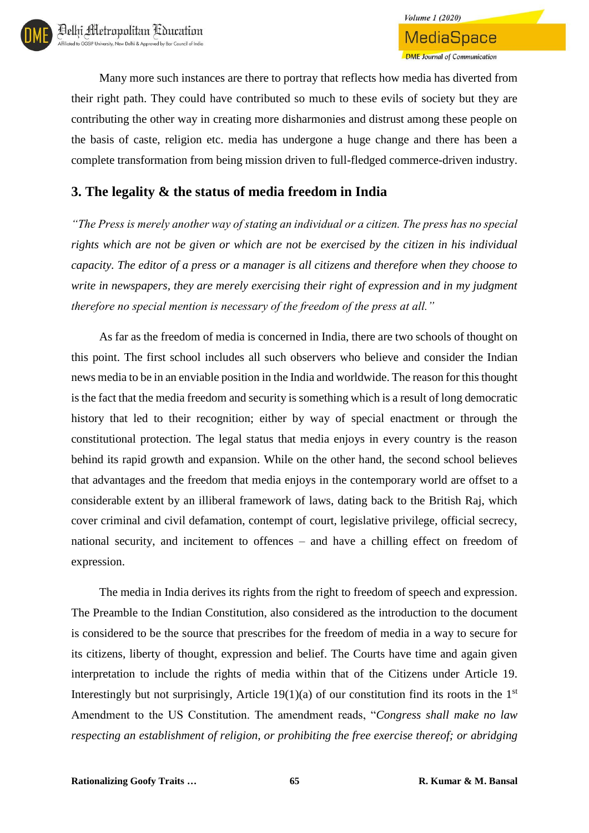Many more such instances are there to portray that reflects how media has diverted from their right path. They could have contributed so much to these evils of society but they are contributing the other way in creating more disharmonies and distrust among these people on the basis of caste, religion etc. media has undergone a huge change and there has been a complete transformation from being mission driven to full-fledged commerce-driven industry.

## **3. The legality & the status of media freedom in India**

*"The Press is merely another way of stating an individual or a citizen. The press has no special rights which are not be given or which are not be exercised by the citizen in his individual capacity. The editor of a press or a manager is all citizens and therefore when they choose to write in newspapers, they are merely exercising their right of expression and in my judgment therefore no special mention is necessary of the freedom of the press at all."*

As far as the freedom of media is concerned in India, there are two schools of thought on this point. The first school includes all such observers who believe and consider the Indian news media to be in an enviable position in the India and worldwide. The reason for this thought is the fact that the media freedom and security is something which is a result of long democratic history that led to their recognition; either by way of special enactment or through the constitutional protection. The legal status that media enjoys in every country is the reason behind its rapid growth and expansion. While on the other hand, the second school believes that advantages and the freedom that media enjoys in the contemporary world are offset to a considerable extent by an illiberal framework of laws, dating back to the British Raj, which cover criminal and civil defamation, contempt of court, legislative privilege, official secrecy, national security, and incitement to offences – and have a chilling effect on freedom of expression.

The media in India derives its rights from the right to freedom of speech and expression. The Preamble to the Indian Constitution, also considered as the introduction to the document is considered to be the source that prescribes for the freedom of media in a way to secure for its citizens, liberty of thought, expression and belief. The Courts have time and again given interpretation to include the rights of media within that of the Citizens under Article 19. Interestingly but not surprisingly, Article 19(1)(a) of our constitution find its roots in the  $1<sup>st</sup>$ Amendment to the US Constitution. The amendment reads, "*Congress shall make no law respecting an establishment of religion, or prohibiting the free exercise thereof; or abridging*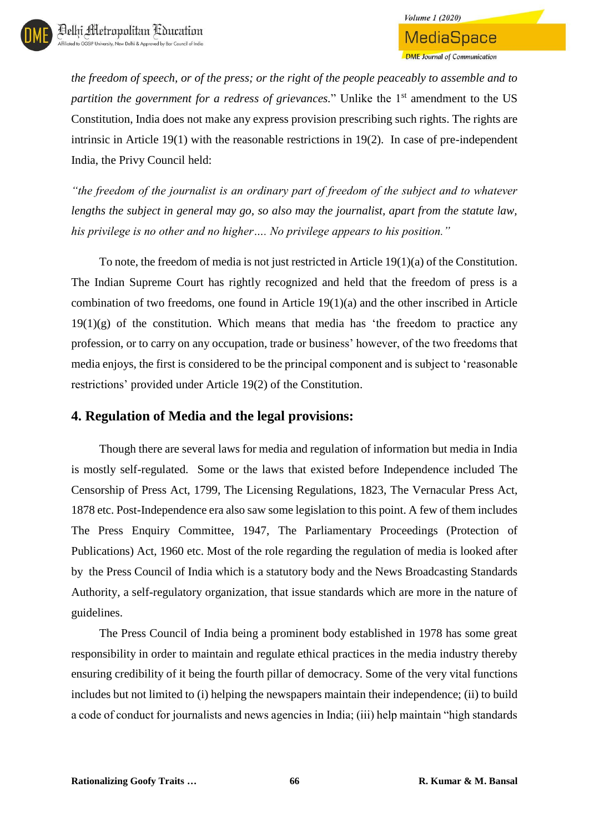*the freedom of speech, or of the press; or the right of the people peaceably to assemble and to partition the government for a redress of grievances.*" Unlike the 1<sup>st</sup> amendment to the US Constitution, India does not make any express provision prescribing such rights. The rights are intrinsic in Article 19(1) with the reasonable restrictions in 19(2). In case of pre-independent India, the Privy Council held:

*"the freedom of the journalist is an ordinary part of freedom of the subject and to whatever lengths the subject in general may go, so also may the journalist, apart from the statute law, his privilege is no other and no higher…. No privilege appears to his position."*

To note, the freedom of media is not just restricted in Article 19(1)(a) of the Constitution. The Indian Supreme Court has rightly recognized and held that the freedom of press is a combination of two freedoms, one found in Article 19(1)(a) and the other inscribed in Article  $19(1)(g)$  of the constitution. Which means that media has 'the freedom to practice any profession, or to carry on any occupation, trade or business' however, of the two freedoms that media enjoys, the first is considered to be the principal component and is subject to 'reasonable restrictions' provided under Article 19(2) of the Constitution.

## **4. Regulation of Media and the legal provisions:**

Though there are several laws for media and regulation of information but media in India is mostly self-regulated. Some or the laws that existed before Independence included The Censorship of Press Act, 1799, The Licensing Regulations, 1823, The Vernacular Press Act, 1878 etc. Post-Independence era also saw some legislation to this point. A few of them includes The Press Enquiry Committee, 1947, The Parliamentary Proceedings (Protection of Publications) Act, 1960 etc. Most of the role regarding the regulation of media is looked after by the Press Council of India which is a statutory body and the News Broadcasting Standards Authority, a self-regulatory organization, that issue standards which are more in the nature of guidelines.

The Press Council of India being a prominent body established in 1978 has some great responsibility in order to maintain and regulate ethical practices in the media industry thereby ensuring credibility of it being the fourth pillar of democracy. Some of the very vital functions includes but not limited to (i) helping the newspapers maintain their independence; (ii) to build a code of conduct for journalists and news agencies in India; (iii) help maintain "high standards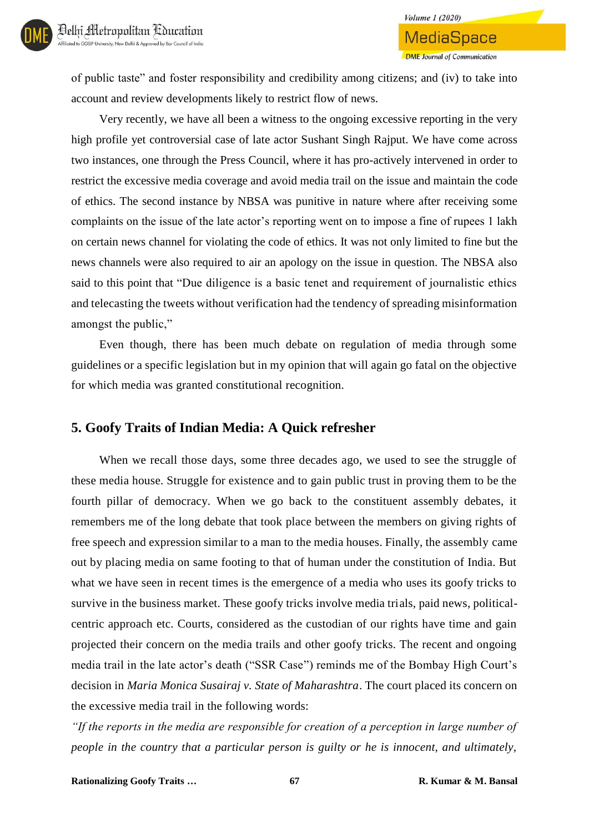of public taste" and foster responsibility and credibility among citizens; and (iv) to take into account and review developments likely to restrict flow of news.

Very recently, we have all been a witness to the ongoing excessive reporting in the very high profile yet controversial case of late actor Sushant Singh Rajput. We have come across two instances, one through the Press Council, where it has pro-actively intervened in order to restrict the excessive media coverage and avoid media trail on the issue and maintain the code of ethics. The second instance by NBSA was punitive in nature where after receiving some complaints on the issue of the late actor's reporting went on to impose a fine of rupees 1 lakh on certain news channel for violating the code of ethics. It was not only limited to fine but the news channels were also required to air an apology on the issue in question. The NBSA also said to this point that "Due diligence is a basic tenet and requirement of journalistic ethics and telecasting the tweets without verification had the tendency of spreading misinformation amongst the public,"

Even though, there has been much debate on regulation of media through some guidelines or a specific legislation but in my opinion that will again go fatal on the objective for which media was granted constitutional recognition.

## **5. Goofy Traits of Indian Media: A Quick refresher**

When we recall those days, some three decades ago, we used to see the struggle of these media house. Struggle for existence and to gain public trust in proving them to be the fourth pillar of democracy. When we go back to the constituent assembly debates, it remembers me of the long debate that took place between the members on giving rights of free speech and expression similar to a man to the media houses. Finally, the assembly came out by placing media on same footing to that of human under the constitution of India. But what we have seen in recent times is the emergence of a media who uses its goofy tricks to survive in the business market. These goofy tricks involve media trials, paid news, politicalcentric approach etc. Courts, considered as the custodian of our rights have time and gain projected their concern on the media trails and other goofy tricks. The recent and ongoing media trail in the late actor's death ("SSR Case") reminds me of the Bombay High Court's decision in *Maria Monica Susairaj v. State of Maharashtra*. The court placed its concern on the excessive media trail in the following words:

*"If the reports in the media are responsible for creation of a perception in large number of people in the country that a particular person is guilty or he is innocent, and ultimately,*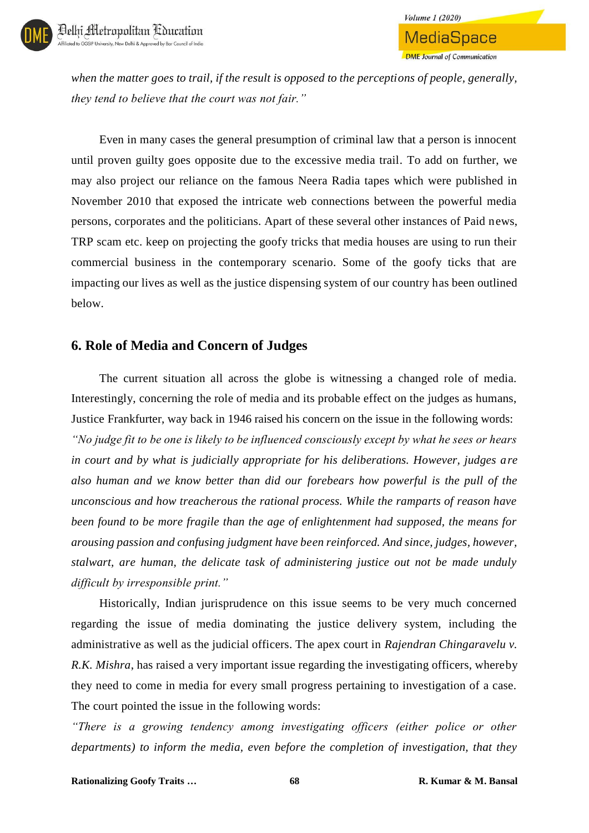

**MediaSpace DME Journal of Communication** 

**Volume 1 (2020)** 

*when the matter goes to trail, if the result is opposed to the perceptions of people, generally, they tend to believe that the court was not fair."*

Even in many cases the general presumption of criminal law that a person is innocent until proven guilty goes opposite due to the excessive media trail*.* To add on further, we may also project our reliance on the famous Neera Radia tapes which were published in November 2010 that exposed the intricate web connections between the powerful media persons, corporates and the politicians. Apart of these several other instances of Paid news, TRP scam etc. keep on projecting the goofy tricks that media houses are using to run their commercial business in the contemporary scenario. Some of the goofy ticks that are impacting our lives as well as the justice dispensing system of our country has been outlined below.

#### **6. Role of Media and Concern of Judges**

The current situation all across the globe is witnessing a changed role of media. Interestingly, concerning the role of media and its probable effect on the judges as humans, Justice Frankfurter, way back in 1946 raised his concern on the issue in the following words: *"No judge fit to be one is likely to be influenced consciously except by what he sees or hears in court and by what is judicially appropriate for his deliberations. However, judges are also human and we know better than did our forebears how powerful is the pull of the unconscious and how treacherous the rational process. While the ramparts of reason have been found to be more fragile than the age of enlightenment had supposed, the means for arousing passion and confusing judgment have been reinforced. And since, judges, however, stalwart, are human, the delicate task of administering justice out not be made unduly difficult by irresponsible print."*

Historically, Indian jurisprudence on this issue seems to be very much concerned regarding the issue of media dominating the justice delivery system, including the administrative as well as the judicial officers. The apex court in *Rajendran Chingaravelu v. R.K. Mishra*, has raised a very important issue regarding the investigating officers, whereby they need to come in media for every small progress pertaining to investigation of a case. The court pointed the issue in the following words:

*"There is a growing tendency among investigating officers (either police or other departments) to inform the media, even before the completion of investigation, that they*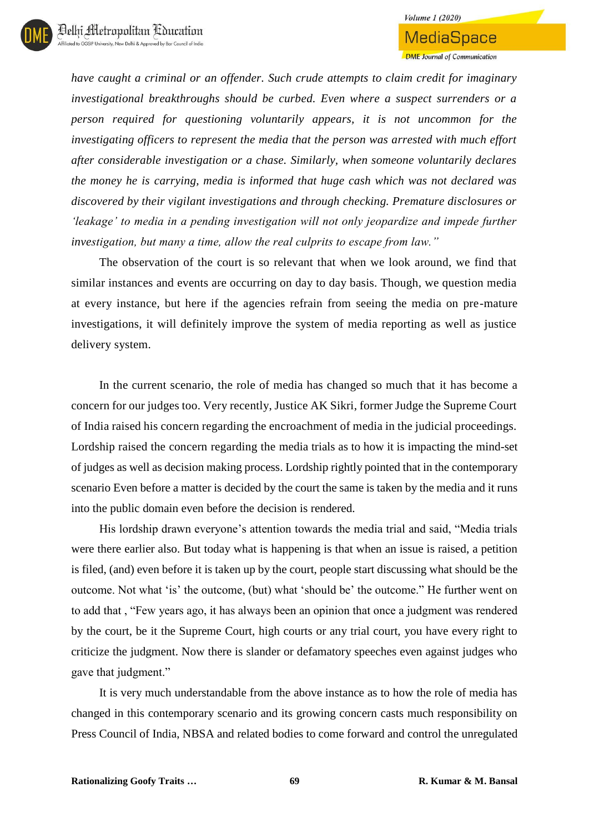**MediaSpace DME** Journal of Communication

*have caught a criminal or an offender. Such crude attempts to claim credit for imaginary investigational breakthroughs should be curbed. Even where a suspect surrenders or a person required for questioning voluntarily appears, it is not uncommon for the investigating officers to represent the media that the person was arrested with much effort after considerable investigation or a chase. Similarly, when someone voluntarily declares the money he is carrying, media is informed that huge cash which was not declared was discovered by their vigilant investigations and through checking. Premature disclosures or 'leakage' to media in a pending investigation will not only jeopardize and impede further investigation, but many a time, allow the real culprits to escape from law."*

The observation of the court is so relevant that when we look around, we find that similar instances and events are occurring on day to day basis. Though, we question media at every instance, but here if the agencies refrain from seeing the media on pre-mature investigations, it will definitely improve the system of media reporting as well as justice delivery system.

In the current scenario, the role of media has changed so much that it has become a concern for our judges too. Very recently, Justice AK Sikri, former Judge the Supreme Court of India raised his concern regarding the encroachment of media in the judicial proceedings. Lordship raised the concern regarding the media trials as to how it is impacting the mind-set of judges as well as decision making process. Lordship rightly pointed that in the contemporary scenario Even before a matter is decided by the court the same is taken by the media and it runs into the public domain even before the decision is rendered.

His lordship drawn everyone's attention towards the media trial and said, "Media trials were there earlier also. But today what is happening is that when an issue is raised, a petition is filed, (and) even before it is taken up by the court, people start discussing what should be the outcome. Not what 'is' the outcome, (but) what 'should be' the outcome." He further went on to add that , "Few years ago, it has always been an opinion that once a judgment was rendered by the court, be it the Supreme Court, high courts or any trial court, you have every right to criticize the judgment. Now there is slander or defamatory speeches even against judges who gave that judgment."

It is very much understandable from the above instance as to how the role of media has changed in this contemporary scenario and its growing concern casts much responsibility on Press Council of India, NBSA and related bodies to come forward and control the unregulated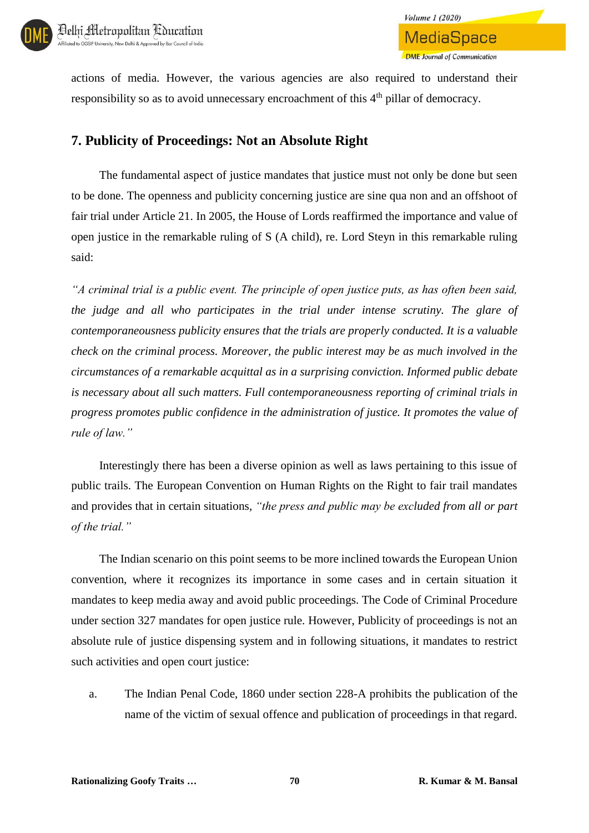

actions of media. However, the various agencies are also required to understand their responsibility so as to avoid unnecessary encroachment of this 4<sup>th</sup> pillar of democracy.

## **7. Publicity of Proceedings: Not an Absolute Right**

The fundamental aspect of justice mandates that justice must not only be done but seen to be done. The openness and publicity concerning justice are sine qua non and an offshoot of fair trial under Article 21. In 2005, the House of Lords reaffirmed the importance and value of open justice in the remarkable ruling of S (A child), re. Lord Steyn in this remarkable ruling said:

*"A criminal trial is a public event. The principle of open justice puts, as has often been said, the judge and all who participates in the trial under intense scrutiny. The glare of contemporaneousness publicity ensures that the trials are properly conducted. It is a valuable check on the criminal process. Moreover, the public interest may be as much involved in the circumstances of a remarkable acquittal as in a surprising conviction. Informed public debate is necessary about all such matters. Full contemporaneousness reporting of criminal trials in progress promotes public confidence in the administration of justice. It promotes the value of rule of law."*

Interestingly there has been a diverse opinion as well as laws pertaining to this issue of public trails. The European Convention on Human Rights on the Right to fair trail mandates and provides that in certain situations, *"the press and public may be excluded from all or part of the trial."*

The Indian scenario on this point seems to be more inclined towards the European Union convention, where it recognizes its importance in some cases and in certain situation it mandates to keep media away and avoid public proceedings. The Code of Criminal Procedure under section 327 mandates for open justice rule. However, Publicity of proceedings is not an absolute rule of justice dispensing system and in following situations, it mandates to restrict such activities and open court justice:

a. The Indian Penal Code, 1860 under section 228-A prohibits the publication of the name of the victim of sexual offence and publication of proceedings in that regard.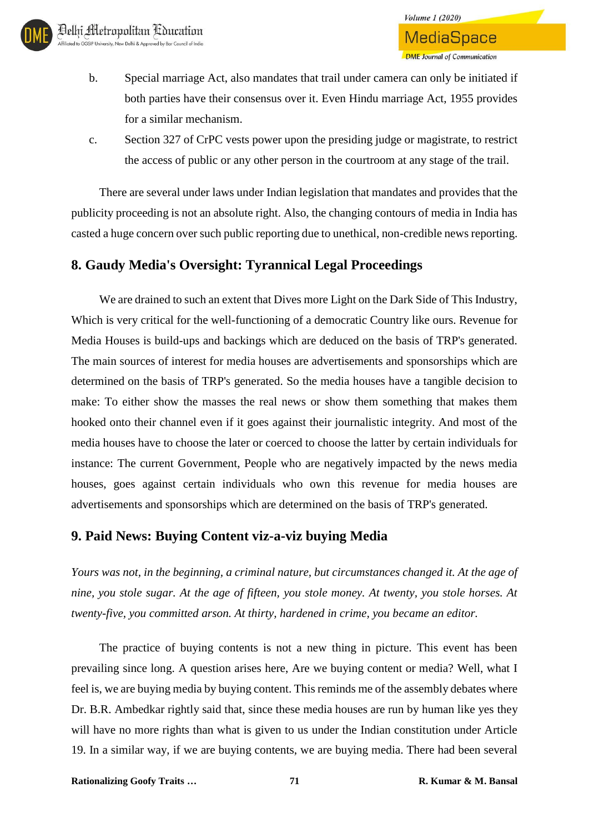- b. Special marriage Act, also mandates that trail under camera can only be initiated if both parties have their consensus over it. Even Hindu marriage Act, 1955 provides for a similar mechanism.
- c. Section 327 of CrPC vests power upon the presiding judge or magistrate, to restrict the access of public or any other person in the courtroom at any stage of the trail.

There are several under laws under Indian legislation that mandates and provides that the publicity proceeding is not an absolute right. Also, the changing contours of media in India has casted a huge concern over such public reporting due to unethical, non-credible news reporting.

## **8. Gaudy Media's Oversight: Tyrannical Legal Proceedings**

We are drained to such an extent that Dives more Light on the Dark Side of This Industry, Which is very critical for the well-functioning of a democratic Country like ours. Revenue for Media Houses is build-ups and backings which are deduced on the basis of TRP's generated. The main sources of interest for media houses are advertisements and sponsorships which are determined on the basis of TRP's generated. So the media houses have a tangible decision to make: To either show the masses the real news or show them something that makes them hooked onto their channel even if it goes against their journalistic integrity. And most of the media houses have to choose the later or coerced to choose the latter by certain individuals for instance: The current Government, People who are negatively impacted by the news media houses, goes against certain individuals who own this revenue for media houses are advertisements and sponsorships which are determined on the basis of TRP's generated.

## **9. Paid News: Buying Content viz-a-viz buying Media**

*Yours was not, in the beginning, a criminal nature, but circumstances changed it. At the age of nine, you stole sugar. At the age of fifteen, you stole money. At twenty, you stole horses. At twenty-five, you committed arson. At thirty, hardened in crime, you became an editor.*

The practice of buying contents is not a new thing in picture. This event has been prevailing since long. A question arises here, Are we buying content or media? Well, what I feel is, we are buying media by buying content. This reminds me of the assembly debates where Dr. B.R. Ambedkar rightly said that, since these media houses are run by human like yes they will have no more rights than what is given to us under the Indian constitution under Article 19. In a similar way, if we are buying contents, we are buying media. There had been several

**Rationalizing Goofy Traits … 71 R. Kumar & M. Bansal**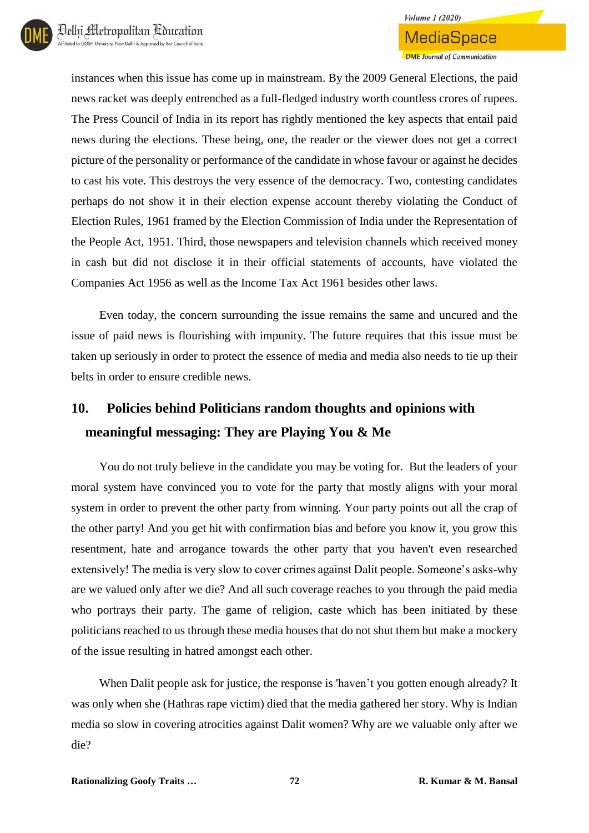**DME** Journal of Communication

instances when this issue has come up in mainstream. By the 2009 General Elections, the paid news racket was deeply entrenched as a full-fledged industry worth countless crores of rupees. The Press Council of India in its report has rightly mentioned the key aspects that entail paid news during the elections. These being, one, the reader or the viewer does not get a correct picture of the personality or performance of the candidate in whose favour or against he decides to cast his vote. This destroys the very essence of the democracy. Two, contesting candidates perhaps do not show it in their election expense account thereby violating the Conduct of Election Rules, 1961 framed by the Election Commission of India under the Representation of the People Act, 1951. Third, those newspapers and television channels which received money in cash but did not disclose it in their official statements of accounts, have violated the Companies Act 1956 as well as the Income Tax Act 1961 besides other laws.

Even today, the concern surrounding the issue remains the same and uncured and the issue of paid news is flourishing with impunity. The future requires that this issue must be taken up seriously in order to protect the essence of media and media also needs to tie up their belts in order to ensure credible news.

# **10. Policies behind Politicians random thoughts and opinions with meaningful messaging: They are Playing You & Me**

You do not truly believe in the candidate you may be voting for. But the leaders of your moral system have convinced you to vote for the party that mostly aligns with your moral system in order to prevent the other party from winning. Your party points out all the crap of the other party! And you get hit with confirmation bias and before you know it, you grow this resentment, hate and arrogance towards the other party that you haven't even researched extensively! The media is very slow to cover crimes against Dalit people. Someone's asks-why are we valued only after we die? And all such coverage reaches to you through the paid media who portrays their party. The game of religion, caste which has been initiated by these politicians reached to us through these media houses that do not shut them but make a mockery of the issue resulting in hatred amongst each other.

When Dalit people ask for justice, the response is 'haven't you gotten enough already? It was only when she (Hathras rape victim) died that the media gathered her story. Why is Indian media so slow in covering atrocities against Dalit women? Why are we valuable only after we die?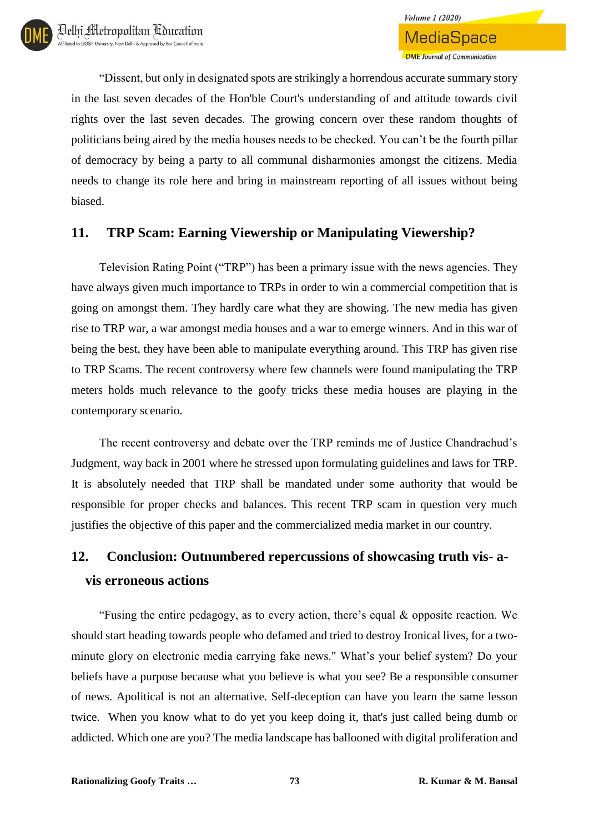"Dissent, but only in designated spots are strikingly a horrendous accurate summary story in the last seven decades of the Hon'ble Court's understanding of and attitude towards civil rights over the last seven decades. The growing concern over these random thoughts of politicians being aired by the media houses needs to be checked. You can't be the fourth pillar of democracy by being a party to all communal disharmonies amongst the citizens. Media needs to change its role here and bring in mainstream reporting of all issues without being biased.

## **11. TRP Scam: Earning Viewership or Manipulating Viewership?**

Television Rating Point ("TRP") has been a primary issue with the news agencies. They have always given much importance to TRPs in order to win a commercial competition that is going on amongst them. They hardly care what they are showing. The new media has given rise to TRP war, a war amongst media houses and a war to emerge winners. And in this war of being the best, they have been able to manipulate everything around. This TRP has given rise to TRP Scams. The recent controversy where few channels were found manipulating the TRP meters holds much relevance to the goofy tricks these media houses are playing in the contemporary scenario.

The recent controversy and debate over the TRP reminds me of Justice Chandrachud's Judgment, way back in 2001 where he stressed upon formulating guidelines and laws for TRP. It is absolutely needed that TRP shall be mandated under some authority that would be responsible for proper checks and balances. This recent TRP scam in question very much justifies the objective of this paper and the commercialized media market in our country.

# **12. Conclusion: Outnumbered repercussions of showcasing truth vis- avis erroneous actions**

"Fusing the entire pedagogy, as to every action, there's equal & opposite reaction. We should start heading towards people who defamed and tried to destroy Ironical lives, for a twominute glory on electronic media carrying fake news." What's your belief system? Do your beliefs have a purpose because what you believe is what you see? Be a responsible consumer of news. Apolitical is not an alternative. Self-deception can have you learn the same lesson twice. When you know what to do yet you keep doing it, that's just called being dumb or addicted. Which one are you? The media landscape has ballooned with digital proliferation and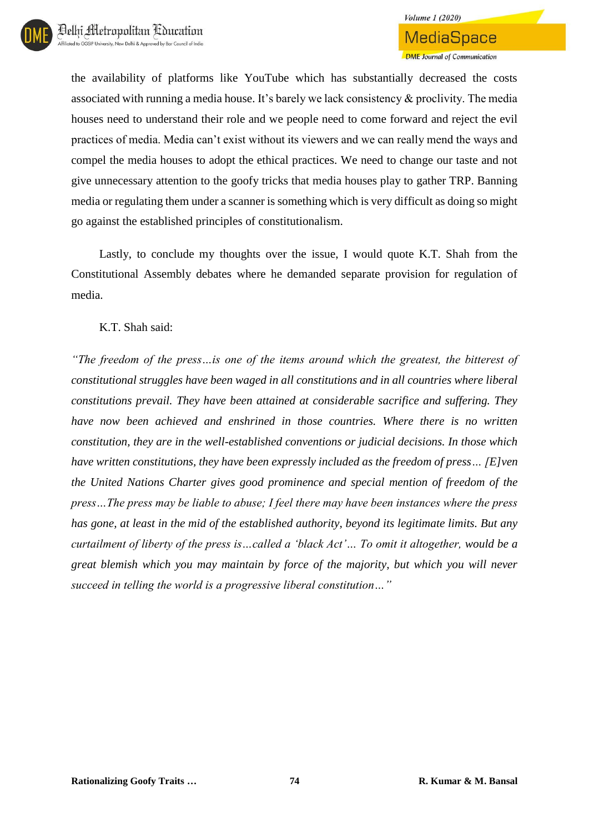the availability of platforms like YouTube which has substantially decreased the costs associated with running a media house. It's barely we lack consistency & proclivity. The media houses need to understand their role and we people need to come forward and reject the evil practices of media. Media can't exist without its viewers and we can really mend the ways and compel the media houses to adopt the ethical practices. We need to change our taste and not give unnecessary attention to the goofy tricks that media houses play to gather TRP. Banning media or regulating them under a scanner is something which is very difficult as doing so might go against the established principles of constitutionalism.

Lastly, to conclude my thoughts over the issue, I would quote K.T. Shah from the Constitutional Assembly debates where he demanded separate provision for regulation of media.

K.T. Shah said:

*"The freedom of the press…is one of the items around which the greatest, the bitterest of constitutional struggles have been waged in all constitutions and in all countries where liberal constitutions prevail. They have been attained at considerable sacrifice and suffering. They have now been achieved and enshrined in those countries. Where there is no written constitution, they are in the well-established conventions or judicial decisions. In those which have written constitutions, they have been expressly included as the freedom of press… [E]ven the United Nations Charter gives good prominence and special mention of freedom of the press…The press may be liable to abuse; I feel there may have been instances where the press has gone, at least in the mid of the established authority, beyond its legitimate limits. But any curtailment of liberty of the press is…called a 'black Act'… To omit it altogether, would be a great blemish which you may maintain by force of the majority, but which you will never succeed in telling the world is a progressive liberal constitution…"*